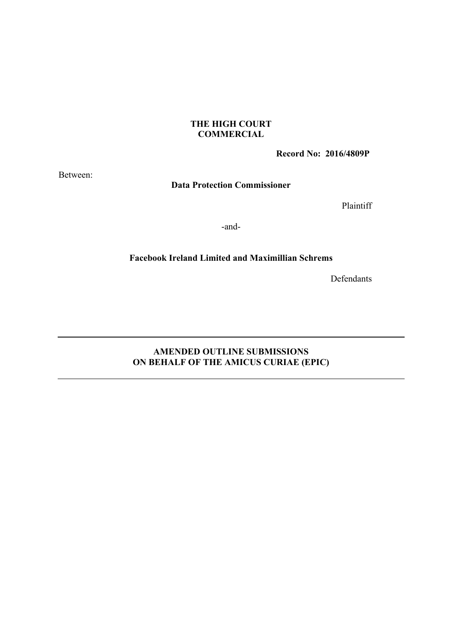### **THE HIGH COURT COMMERCIAL**

**Record No: 2016/4809P** 

Between:

**Data Protection Commissioner**

Plaintiff

-and-

### **Facebook Ireland Limited and Maximillian Schrems**

Defendants

# **AMENDED OUTLINE SUBMISSIONS ON BEHALF OF THE AMICUS CURIAE (EPIC)**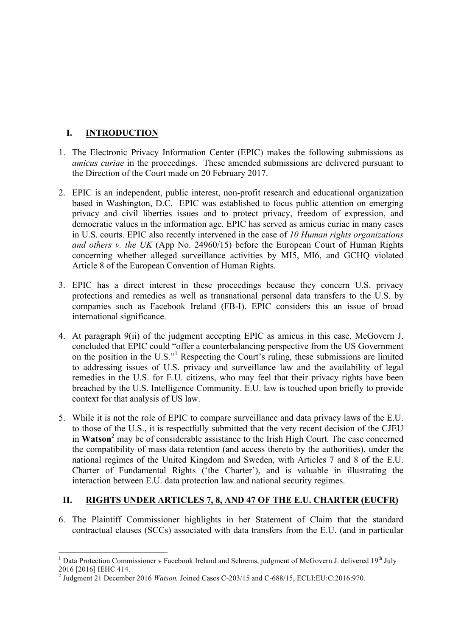# **I. INTRODUCTION**

- 1. The Electronic Privacy Information Center (EPIC) makes the following submissions as *amicus curiae* in the proceedings. These amended submissions are delivered pursuant to the Direction of the Court made on 20 February 2017.
- 2. EPIC is an independent, public interest, non-profit research and educational organization based in Washington, D.C. EPIC was established to focus public attention on emerging privacy and civil liberties issues and to protect privacy, freedom of expression, and democratic values in the information age. EPIC has served as amicus curiae in many cases in U.S. courts. EPIC also recently intervened in the case of *10 Human rights organizations and others v. the UK* (App No. 24960/15) before the European Court of Human Rights concerning whether alleged surveillance activities by MI5, MI6, and GCHQ violated Article 8 of the European Convention of Human Rights.
- 3. EPIC has a direct interest in these proceedings because they concern U.S. privacy protections and remedies as well as transnational personal data transfers to the U.S. by companies such as Facebook Ireland (FB-I). EPIC considers this an issue of broad international significance.
- 4. At paragraph 9(ii) of the judgment accepting EPIC as amicus in this case, McGovern J. concluded that EPIC could "offer a counterbalancing perspective from the US Government on the position in the U.S."<sup>1</sup> Respecting the Court's ruling, these submissions are limited to addressing issues of U.S. privacy and surveillance law and the availability of legal remedies in the U.S. for E.U. citizens, who may feel that their privacy rights have been breached by the U.S. Intelligence Community. E.U. law is touched upon briefly to provide context for that analysis of US law.
- 5. While it is not the role of EPIC to compare surveillance and data privacy laws of the E.U. to those of the U.S., it is respectfully submitted that the very recent decision of the CJEU in **Watson**<sup>2</sup> may be of considerable assistance to the Irish High Court. The case concerned the compatibility of mass data retention (and access thereto by the authorities), under the national regimes of the United Kingdom and Sweden, with Articles 7 and 8 of the E.U. Charter of Fundamental Rights ('the Charter'), and is valuable in illustrating the interaction between E.U. data protection law and national security regimes.

# **II. RIGHTS UNDER ARTICLES 7, 8, AND 47 OF THE E.U. CHARTER (EUCFR)**

6. The Plaintiff Commissioner highlights in her Statement of Claim that the standard contractual clauses (SCCs) associated with data transfers from the E.U. (and in particular

<sup>&</sup>lt;sup>1</sup> Data Protection Commissioner v Facebook Ireland and Schrems, judgment of McGovern J. delivered 19<sup>th</sup> July 2016 [2016] IEHC 414.

<sup>2</sup> Judgment 21 December 2016 *Watson,* Joined Cases C-203/15 and C-688/15, ECLI:EU:C:2016:970.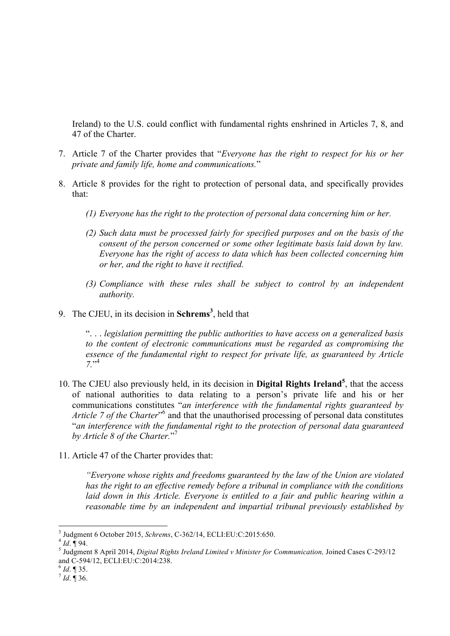Ireland) to the U.S. could conflict with fundamental rights enshrined in Articles 7, 8, and 47 of the Charter.

- 7. Article 7 of the Charter provides that "*Everyone has the right to respect for his or her private and family life, home and communications.*"
- 8. Article 8 provides for the right to protection of personal data, and specifically provides that:
	- *(1) Everyone has the right to the protection of personal data concerning him or her.*
	- *(2) Such data must be processed fairly for specified purposes and on the basis of the consent of the person concerned or some other legitimate basis laid down by law. Everyone has the right of access to data which has been collected concerning him or her, and the right to have it rectified.*
	- *(3) Compliance with these rules shall be subject to control by an independent authority.*
- 9. The CJEU, in its decision in **Schrems<sup>3</sup>** , held that

". . . *legislation permitting the public authorities to have access on a generalized basis to the content of electronic communications must be regarded as compromising the essence of the fundamental right to respect for private life, as guaranteed by Article 7.*" 4

- 10. The CJEU also previously held, in its decision in **Digital Rights Ireland<sup>5</sup>** , that the access of national authorities to data relating to a person's private life and his or her communications constitutes "*an interference with the fundamental rights guaranteed by*  Article 7 of the Charter<sup>"6</sup> and that the unauthorised processing of personal data constitutes "*an interference with the fundamental right to the protection of personal data guaranteed by Article 8 of the Charter.*" 7
- 11. Article 47 of the Charter provides that:

*"Everyone whose rights and freedoms guaranteed by the law of the Union are violated has the right to an effective remedy before a tribunal in compliance with the conditions laid down in this Article. Everyone is entitled to a fair and public hearing within a reasonable time by an independent and impartial tribunal previously established by* 

<sup>&</sup>lt;sup>3</sup> Judgment 6 October 2015, *Schrems*, C-362/14, ECLI:EU:C:2015:650.<br>
<sup>4</sup> *Id*. ¶ 94. <br>
<sup>5</sup> Judgment 8 April 2014, *Digital Rights Ireland Limited v Minister for Communication, Joined Cases C-293/12* and C-594/12, ECLI:EU:C:2014:238.<br><sup>6</sup> *Id*. ¶ 35.<br><sup>7</sup> *Id*. ¶ 36.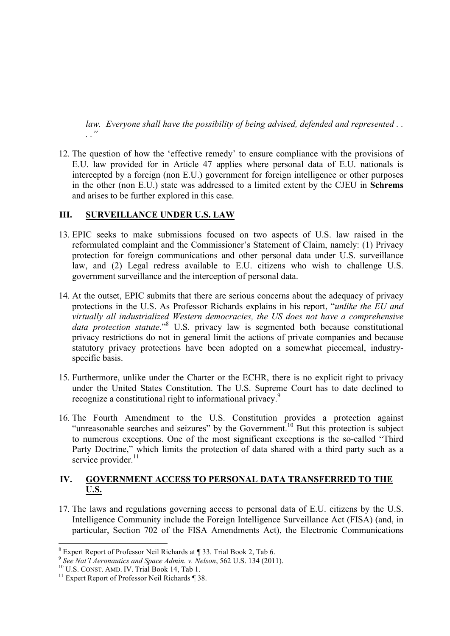*law. Everyone shall have the possibility of being advised, defended and represented . . . ."*

12. The question of how the 'effective remedy' to ensure compliance with the provisions of E.U. law provided for in Article 47 applies where personal data of E.U. nationals is intercepted by a foreign (non E.U.) government for foreign intelligence or other purposes in the other (non E.U.) state was addressed to a limited extent by the CJEU in **Schrems**  and arises to be further explored in this case.

## **III. SURVEILLANCE UNDER U.S. LAW**

- 13. EPIC seeks to make submissions focused on two aspects of U.S. law raised in the reformulated complaint and the Commissioner's Statement of Claim, namely: (1) Privacy protection for foreign communications and other personal data under U.S. surveillance law, and (2) Legal redress available to E.U. citizens who wish to challenge U.S. government surveillance and the interception of personal data.
- 14. At the outset, EPIC submits that there are serious concerns about the adequacy of privacy protections in the U.S. As Professor Richards explains in his report, "*unlike the EU and virtually all industrialized Western democracies, the US does not have a comprehensive data protection statute*.<sup>"8</sup> U.S. privacy law is segmented both because constitutional privacy restrictions do not in general limit the actions of private companies and because statutory privacy protections have been adopted on a somewhat piecemeal, industryspecific basis.
- 15. Furthermore, unlike under the Charter or the ECHR, there is no explicit right to privacy under the United States Constitution. The U.S. Supreme Court has to date declined to recognize a constitutional right to informational privacy.<sup>9</sup>
- 16. The Fourth Amendment to the U.S. Constitution provides a protection against "unreasonable searches and seizures" by the Government.<sup>10</sup> But this protection is subject to numerous exceptions. One of the most significant exceptions is the so-called "Third Party Doctrine," which limits the protection of data shared with a third party such as a service provider.<sup>11</sup>

## **IV. GOVERNMENT ACCESS TO PERSONAL DATA TRANSFERRED TO THE U.S.**

17. The laws and regulations governing access to personal data of E.U. citizens by the U.S. Intelligence Community include the Foreign Intelligence Surveillance Act (FISA) (and, in particular, Section 702 of the FISA Amendments Act), the Electronic Communications

 <sup>8</sup> Expert Report of Professor Neil Richards at ¶ 33. Trial Book 2, Tab 6.

<sup>&</sup>lt;sup>9</sup> See Nat'l Aeronautics and Space Admin. v. Nelson, 562 U.S. 134 (2011).<br><sup>10</sup> U.S. CONST. AMD. IV. Trial Book 14, Tab 1.<br><sup>11</sup> Expert Report of Professor Neil Richards ¶ 38.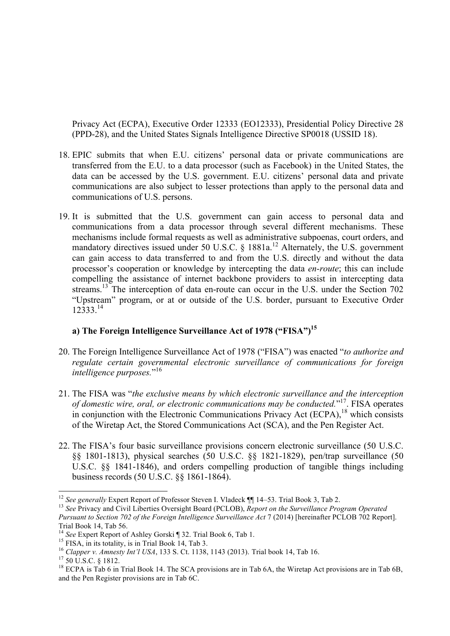Privacy Act (ECPA), Executive Order 12333 (EO12333), Presidential Policy Directive 28 (PPD-28), and the United States Signals Intelligence Directive SP0018 (USSID 18).

- 18. EPIC submits that when E.U. citizens' personal data or private communications are transferred from the E.U. to a data processor (such as Facebook) in the United States, the data can be accessed by the U.S. government. E.U. citizens' personal data and private communications are also subject to lesser protections than apply to the personal data and communications of U.S. persons.
- 19. It is submitted that the U.S. government can gain access to personal data and communications from a data processor through several different mechanisms. These mechanisms include formal requests as well as administrative subpoenas, court orders, and mandatory directives issued under 50 U.S.C. § 1881a.<sup>12</sup> Alternately, the U.S. government can gain access to data transferred to and from the U.S. directly and without the data processor's cooperation or knowledge by intercepting the data *en-route*; this can include compelling the assistance of internet backbone providers to assist in intercepting data streams.<sup>13</sup> The interception of data en-route can occur in the U.S. under the Section 702 "Upstream" program, or at or outside of the U.S. border, pursuant to Executive Order 12333.<sup>14</sup>

# **a) The Foreign Intelligence Surveillance Act of 1978 ("FISA")15**

- 20. The Foreign Intelligence Surveillance Act of 1978 ("FISA") was enacted "*to authorize and regulate certain governmental electronic surveillance of communications for foreign intelligence purposes.*" 16
- 21. The FISA was "*the exclusive means by which electronic surveillance and the interception of domestic wire, oral, or electronic communications may be conducted.*" 17. FISA operates in conjunction with the Electronic Communications Privacy Act (ECPA), $^{18}$  which consists of the Wiretap Act, the Stored Communications Act (SCA), and the Pen Register Act.
- 22. The FISA's four basic surveillance provisions concern electronic surveillance (50 U.S.C. §§ 1801-1813), physical searches (50 U.S.C. §§ 1821-1829), pen/trap surveillance (50 U.S.C. §§ 1841-1846), and orders compelling production of tangible things including business records (50 U.S.C. §§ 1861-1864).

<sup>&</sup>lt;sup>12</sup> *See generally* Expert Report of Professor Steven I. Vladeck ¶ 14–53. Trial Book 3, Tab 2.<br><sup>13</sup> *See Privacy and Civil Liberties Oversight Board (PCLOB), <i>Report on the Surveillance Program Operated Pursuant to Section 702 of the Foreign Intelligence Surveillance Act* 7 (2014) [hereinafter PCLOB 702 Report]. Trial Book 14, Tab 56.<br><sup>14</sup> See Expert Report of Ashley Gorski ¶ 32. Trial Book 6, Tab 1.

<sup>&</sup>lt;sup>15</sup> FISA, in its totality, is in Trial Book 14, Tab 3.<br><sup>16</sup> Clapper v. Amnesty Int'l USA, 133 S. Ct. 1138, 1143 (2013). Trial book 14, Tab 16.<br><sup>17</sup> 50 U.S.C. § 1812.<br><sup>18</sup> ECPA is Tab 6 in Trial Book 14. The SCA provision and the Pen Register provisions are in Tab 6C.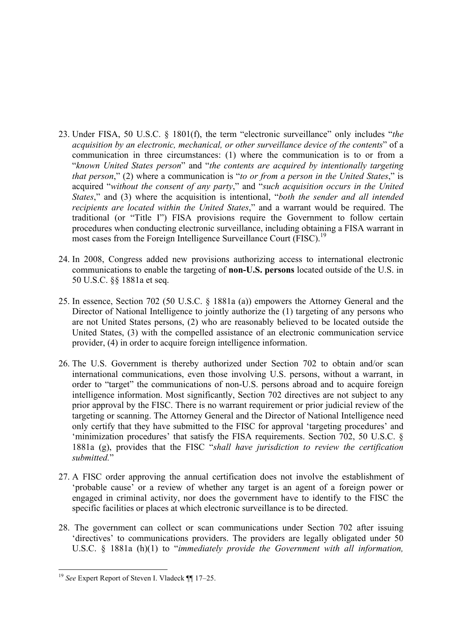- 23. Under FISA, 50 U.S.C. § 1801(f), the term "electronic surveillance" only includes "*the acquisition by an electronic, mechanical, or other surveillance device of the contents*" of a communication in three circumstances: (1) where the communication is to or from a "*known United States person*" and "*the contents are acquired by intentionally targeting that person*," (2) where a communication is "*to or from a person in the United States*," is acquired "*without the consent of any party*," and "*such acquisition occurs in the United States*," and (3) where the acquisition is intentional, "*both the sender and all intended recipients are located within the United States*," and a warrant would be required. The traditional (or "Title I") FISA provisions require the Government to follow certain procedures when conducting electronic surveillance, including obtaining a FISA warrant in most cases from the Foreign Intelligence Surveillance Court (FISC).<sup>19</sup>
- 24. In 2008, Congress added new provisions authorizing access to international electronic communications to enable the targeting of **non-U.S. persons** located outside of the U.S. in 50 U.S.C. §§ 1881a et seq.
- 25. In essence, Section 702 (50 U.S.C. § 1881a (a)) empowers the Attorney General and the Director of National Intelligence to jointly authorize the (1) targeting of any persons who are not United States persons, (2) who are reasonably believed to be located outside the United States, (3) with the compelled assistance of an electronic communication service provider, (4) in order to acquire foreign intelligence information.
- 26. The U.S. Government is thereby authorized under Section 702 to obtain and/or scan international communications, even those involving U.S. persons, without a warrant, in order to "target" the communications of non-U.S. persons abroad and to acquire foreign intelligence information. Most significantly, Section 702 directives are not subject to any prior approval by the FISC. There is no warrant requirement or prior judicial review of the targeting or scanning. The Attorney General and the Director of National Intelligence need only certify that they have submitted to the FISC for approval 'targeting procedures' and 'minimization procedures' that satisfy the FISA requirements. Section 702, 50 U.S.C. § 1881a (g), provides that the FISC "*shall have jurisdiction to review the certification submitted.*"
- 27. A FISC order approving the annual certification does not involve the establishment of 'probable cause' or a review of whether any target is an agent of a foreign power or engaged in criminal activity, nor does the government have to identify to the FISC the specific facilities or places at which electronic surveillance is to be directed.
- 28. The government can collect or scan communications under Section 702 after issuing 'directives' to communications providers. The providers are legally obligated under 50 U.S.C. § 1881a (h)(1) to "*immediately provide the Government with all information,*

 <sup>19</sup> *See* Expert Report of Steven I. Vladeck ¶¶ 17–25.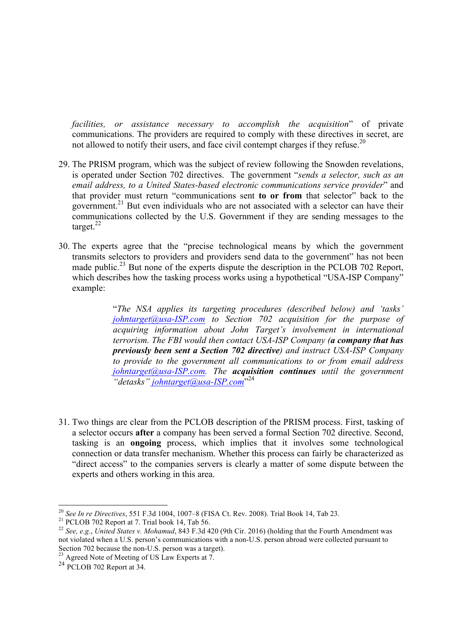*facilities, or assistance necessary to accomplish the acquisition*" of private communications. The providers are required to comply with these directives in secret, are not allowed to notify their users, and face civil contempt charges if they refuse.<sup>20</sup>

- 29. The PRISM program, which was the subject of review following the Snowden revelations, is operated under Section 702 directives. The government "*sends a selector, such as an email address, to a United States-based electronic communications service provider*" and that provider must return "communications sent **to or from** that selector" back to the government.<sup>21</sup> But even individuals who are not associated with a selector can have their communications collected by the U.S. Government if they are sending messages to the target. $^{22}$
- 30. The experts agree that the "precise technological means by which the government transmits selectors to providers and providers send data to the government" has not been made public.<sup>23</sup> But none of the experts dispute the description in the PCLOB 702 Report. which describes how the tasking process works using a hypothetical "USA-ISP Company" example:

"*The NSA applies its targeting procedures (described below) and 'tasks' johntarget@usa-ISP.com to Section 702 acquisition for the purpose of acquiring information about John Target's involvement in international terrorism. The FBI would then contact USA-ISP Company (a company that has previously been sent a Section 702 directive) and instruct USA-ISP Company to provide to the government all communications to or from email address johntarget@usa-ISP.com. The acquisition continues until the government*  "detasks" johntarget@usa-ISP.com<sup>"24</sup>

31. Two things are clear from the PCLOB description of the PRISM process. First, tasking of a selector occurs **after** a company has been served a formal Section 702 directive. Second, tasking is an **ongoing** process, which implies that it involves some technological connection or data transfer mechanism. Whether this process can fairly be characterized as "direct access" to the companies servers is clearly a matter of some dispute between the experts and others working in this area.

<sup>&</sup>lt;sup>20</sup> See In re Directives, 551 F.3d 1004, 1007–8 (FISA Ct. Rev. 2008). Trial Book 14, Tab 23.<br><sup>21</sup> PCLOB 702 Report at 7. Trial book 14, Tab 56.<br><sup>22</sup> See, e.g., United States v. Mohamud, 843 F.3d 420 (9th Cir. 2016) (hold not violated when a U.S. person's communications with a non-U.S. person abroad were collected pursuant to Section 702 because the non-U.S. person was a target).

 $23$  Agreed Note of Meeting of US Law Experts at 7.

 $24$  PCLOB 702 Report at 34.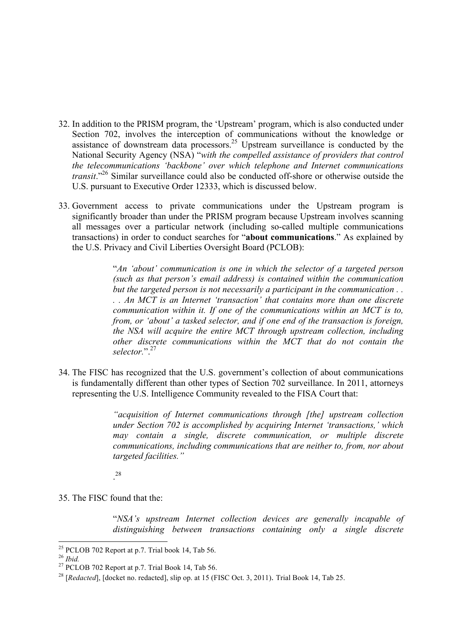- 32. In addition to the PRISM program, the 'Upstream' program, which is also conducted under Section 702, involves the interception of communications without the knowledge or assistance of downstream data processors.<sup>25</sup> Upstream surveillance is conducted by the National Security Agency (NSA) "*with the compelled assistance of providers that control the telecommunications 'backbone' over which telephone and Internet communications transit*."26 Similar surveillance could also be conducted off-shore or otherwise outside the U.S. pursuant to Executive Order 12333, which is discussed below.
- 33. Government access to private communications under the Upstream program is significantly broader than under the PRISM program because Upstream involves scanning all messages over a particular network (including so-called multiple communications transactions) in order to conduct searches for "**about communications**." As explained by the U.S. Privacy and Civil Liberties Oversight Board (PCLOB):

"*An 'about' communication is one in which the selector of a targeted person (such as that person's email address) is contained within the communication but the targeted person is not necessarily a participant in the communication . . . . An MCT is an Internet 'transaction' that contains more than one discrete communication within it. If one of the communications within an MCT is to, from, or 'about' a tasked selector, and if one end of the transaction is foreign, the NSA will acquire the entire MCT through upstream collection, including other discrete communications within the MCT that do not contain the selector.*".27

34. The FISC has recognized that the U.S. government's collection of about communications is fundamentally different than other types of Section 702 surveillance. In 2011, attorneys representing the U.S. Intelligence Community revealed to the FISA Court that:

> *"acquisition of Internet communications through [the] upstream collection under Section 702 is accomplished by acquiring Internet 'transactions,' which may contain a single, discrete communication, or multiple discrete communications, including communications that are neither to, from, nor about targeted facilities."*

. 28

35. The FISC found that the:

"*NSA's upstream Internet collection devices are generally incapable of distinguishing between transactions containing only a single discrete* 

<sup>&</sup>lt;sup>25</sup> PCLOB 702 Report at p.7. Trial book 14, Tab 56.<br><sup>26</sup> *Ibid.* <sup>27</sup> PCLOB 702 Report at p.7. Trial Book 14, Tab 56.

<sup>&</sup>lt;sup>28</sup> [*Redacted*], [docket no. redacted], slip op. at 15 (FISC Oct. 3, 2011). Trial Book 14, Tab 25.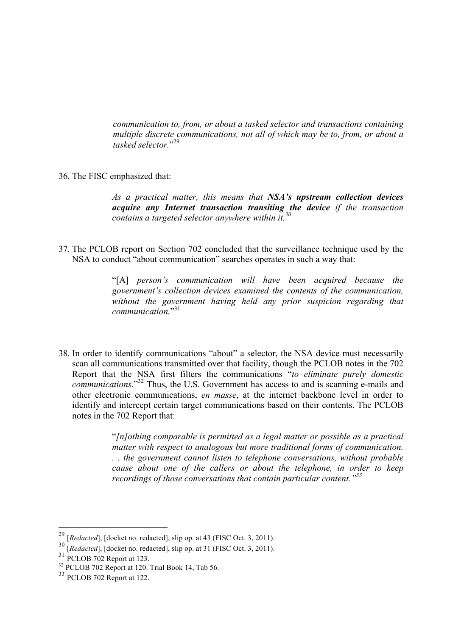*communication to, from, or about a tasked selector and transactions containing multiple discrete communications, not all of which may be to, from, or about a tasked selector.*" 29

36. The FISC emphasized that:

*As a practical matter, this means that NSA's upstream collection devices acquire any Internet transaction transiting the device if the transaction contains a targeted selector anywhere within it.30*

37. The PCLOB report on Section 702 concluded that the surveillance technique used by the NSA to conduct "about communication" searches operates in such a way that:

> "[A] *person's communication will have been acquired because the government's collection devices examined the contents of the communication, without the government having held any prior suspicion regarding that communication.*" 31

38. In order to identify communications "about" a selector, the NSA device must necessarily scan all communications transmitted over that facility, though the PCLOB notes in the 702 Report that the NSA first filters the communications "*to eliminate purely domestic communications*."32 Thus, the U.S. Government has access to and is scanning e-mails and other electronic communications, *en masse*, at the internet backbone level in order to identify and intercept certain target communications based on their contents. The PCLOB notes in the 702 Report that:

> "*[n]othing comparable is permitted as a legal matter or possible as a practical matter with respect to analogous but more traditional forms of communication. . . the government cannot listen to telephone conversations, without probable cause about one of the callers or about the telephone, in order to keep recordings of those conversations that contain particular content."<sup>33</sup>*

 <sup>29</sup> [*Redacted*], [docket no. redacted], slip op. at 43 (FISC Oct. 3, 2011).

 $\frac{30}{30}$  [*Redacted*], [docket no. redacted], slip op. at 31 (FISC Oct. 3, 2011).

PCLOB 702 Report at 123.

<sup>&</sup>lt;sup>32</sup> PCLOB 702 Report at 120. Trial Book 14, Tab 56.

<sup>33</sup> PCLOB 702 Report at 122.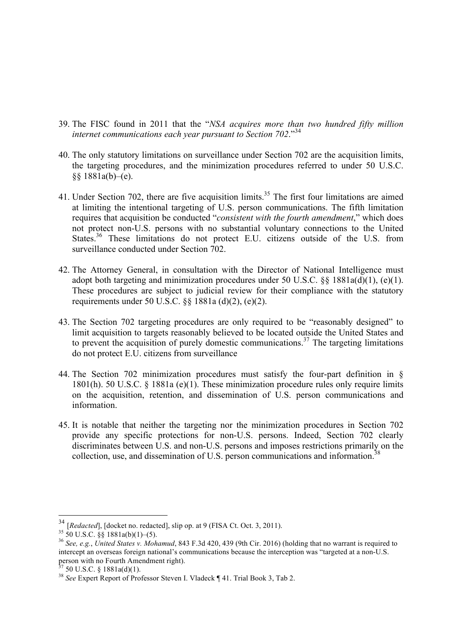- 39. The FISC found in 2011 that the "*NSA acquires more than two hundred fifty million internet communications each year pursuant to Section 702*."<sup>34</sup>
- 40. The only statutory limitations on surveillance under Section 702 are the acquisition limits, the targeting procedures, and the minimization procedures referred to under 50 U.S.C. §§ 1881a(b)–(e).
- 41. Under Section 702, there are five acquisition limits.<sup>35</sup> The first four limitations are aimed at limiting the intentional targeting of U.S. person communications. The fifth limitation requires that acquisition be conducted "*consistent with the fourth amendment*," which does not protect non-U.S. persons with no substantial voluntary connections to the United States.<sup>36</sup> These limitations do not protect E.U. citizens outside of the U.S. from surveillance conducted under Section 702.
- 42. The Attorney General, in consultation with the Director of National Intelligence must adopt both targeting and minimization procedures under 50 U.S.C. §§ 1881a(d)(1), (e)(1). These procedures are subject to judicial review for their compliance with the statutory requirements under 50 U.S.C. §§ 1881a (d)(2), (e)(2).
- 43. The Section 702 targeting procedures are only required to be "reasonably designed" to limit acquisition to targets reasonably believed to be located outside the United States and to prevent the acquisition of purely domestic communications.<sup>37</sup> The targeting limitations do not protect E.U. citizens from surveillance
- 44. The Section 702 minimization procedures must satisfy the four-part definition in § 1801(h). 50 U.S.C. § 1881a (e)(1). These minimization procedure rules only require limits on the acquisition, retention, and dissemination of U.S. person communications and information.
- 45. It is notable that neither the targeting nor the minimization procedures in Section 702 provide any specific protections for non-U.S. persons. Indeed, Section 702 clearly discriminates between U.S. and non-U.S. persons and imposes restrictions primarily on the collection, use, and dissemination of U.S. person communications and information.<sup>38</sup>

<sup>&</sup>lt;sup>34</sup> [*Redacted*], [docket no. redacted], slip op. at 9 (FISA Ct. Oct. 3, 2011).<br><sup>35</sup> 50 U.S.C. §§ 1881a(b)(1)–(5).

<sup>&</sup>lt;sup>36</sup> See, e.g., *United States v. Mohamud*, 843 F.3d 420, 439 (9th Cir. 2016) (holding that no warrant is required to intercept an overseas foreign national's communications because the interception was "targeted at a non-U.S. person with no Fourth Amendment right).<br> $3750 \text{ U.S.C.} \$  1881a(d)(1).

<sup>&</sup>lt;sup>38</sup> See Expert Report of Professor Steven I. Vladeck ¶ 41. Trial Book 3, Tab 2.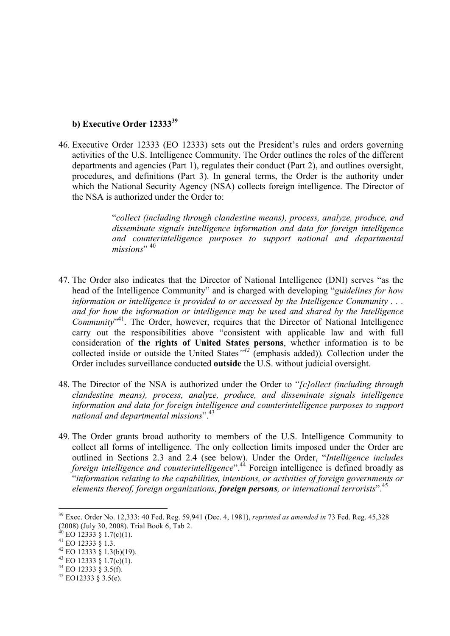### **b) Executive Order 12333<sup>39</sup>**

46. Executive Order 12333 (EO 12333) sets out the President's rules and orders governing activities of the U.S. Intelligence Community. The Order outlines the roles of the different departments and agencies (Part 1), regulates their conduct (Part 2), and outlines oversight, procedures, and definitions (Part 3). In general terms, the Order is the authority under which the National Security Agency (NSA) collects foreign intelligence. The Director of the NSA is authorized under the Order to:

> "*collect (including through clandestine means), process, analyze, produce, and disseminate signals intelligence information and data for foreign intelligence and counterintelligence purposes to support national and departmental*  missions"<sup>, 40</sup>

- 47. The Order also indicates that the Director of National Intelligence (DNI) serves "as the head of the Intelligence Community" and is charged with developing "*guidelines for how information or intelligence is provided to or accessed by the Intelligence Community . . . and for how the information or intelligence may be used and shared by the Intelligence*  Community<sup>"41</sup>. The Order, however, requires that the Director of National Intelligence carry out the responsibilities above "consistent with applicable law and with full consideration of **the rights of United States persons**, whether information is to be collected inside or outside the United States*"<sup>42</sup>* (emphasis added))*.* Collection under the Order includes surveillance conducted **outside** the U.S. without judicial oversight.
- 48. The Director of the NSA is authorized under the Order to "*[c]ollect (including through clandestine means), process, analyze, produce, and disseminate signals intelligence information and data for foreign intelligence and counterintelligence purposes to support national and departmental missions*".<sup>43</sup>
- 49. The Order grants broad authority to members of the U.S. Intelligence Community to collect all forms of intelligence. The only collection limits imposed under the Order are outlined in Sections 2.3 and 2.4 (see below). Under the Order, "*Intelligence includes foreign intelligence and counterintelligence*".<sup>44</sup> Foreign intelligence is defined broadly as "*information relating to the capabilities, intentions, or activities of foreign governments or elements thereof, foreign organizations, foreign persons, or international terrorists*".45

 <sup>39</sup> Exec. Order No. 12,333: 40 Fed. Reg. 59,941 (Dec. 4, 1981), *reprinted as amended in* 73 Fed. Reg. 45,328 (2008) (July 30, 2008). Trial Book 6, Tab 2.

<sup>40</sup> EO 12333 § 1.7(c)(1).<br>
41 EO 12333 § 1.3.<br>
42 EO 12333 § 1.3(b)(19).<br>
43 EO 12333 § 1.7(c)(1).<br>
44 EO 12333 § 3.5(f).<br>
45 EO12333 § 3.5(e).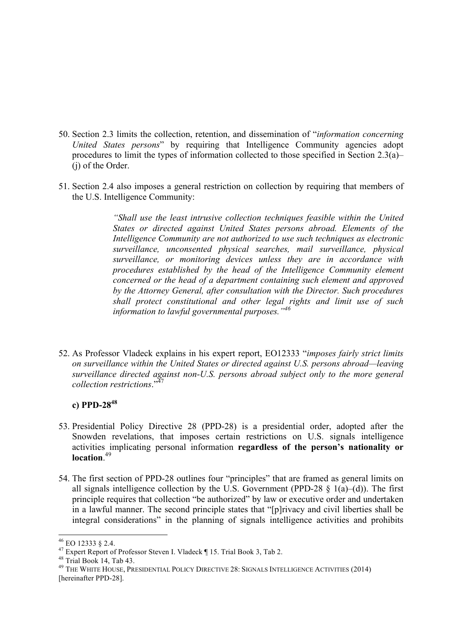- 50. Section 2.3 limits the collection, retention, and dissemination of "*information concerning United States persons*" by requiring that Intelligence Community agencies adopt procedures to limit the types of information collected to those specified in Section 2.3(a)– (j) of the Order.
- 51. Section 2.4 also imposes a general restriction on collection by requiring that members of the U.S. Intelligence Community:

*"Shall use the least intrusive collection techniques feasible within the United States or directed against United States persons abroad. Elements of the Intelligence Community are not authorized to use such techniques as electronic surveillance, unconsented physical searches, mail surveillance, physical surveillance, or monitoring devices unless they are in accordance with procedures established by the head of the Intelligence Community element concerned or the head of a department containing such element and approved by the Attorney General, after consultation with the Director. Such procedures shall protect constitutional and other legal rights and limit use of such information to lawful governmental purposes."<sup>46</sup>*

52. As Professor Vladeck explains in his expert report, EO12333 "*imposes fairly strict limits on surveillance within the United States or directed against U.S. persons abroad—leaving surveillance directed against non-U.S. persons abroad subject only to the more general collection restrictions*."47

## **c) PPD-2848**

- 53. Presidential Policy Directive 28 (PPD-28) is a presidential order, adopted after the Snowden revelations, that imposes certain restrictions on U.S. signals intelligence activities implicating personal information **regardless of the person's nationality or location**. 49
- 54. The first section of PPD-28 outlines four "principles" that are framed as general limits on all signals intelligence collection by the U.S. Government (PPD-28  $\S$  1(a)–(d)). The first principle requires that collection "be authorized" by law or executive order and undertaken in a lawful manner. The second principle states that "[p]rivacy and civil liberties shall be integral considerations" in the planning of signals intelligence activities and prohibits

<sup>&</sup>lt;sup>46</sup> EO 12333 § 2.4.<br><sup>47</sup> Expert Report of Professor Steven I. Vladeck ¶ 15. Trial Book 3, Tab 2.<br><sup>48</sup> The White House, Presidential Policy Directive 28: Signals Intelligence Activities (2014)<br><sup>49</sup> THE WHITE HOUSE, PRESID [hereinafter PPD-28].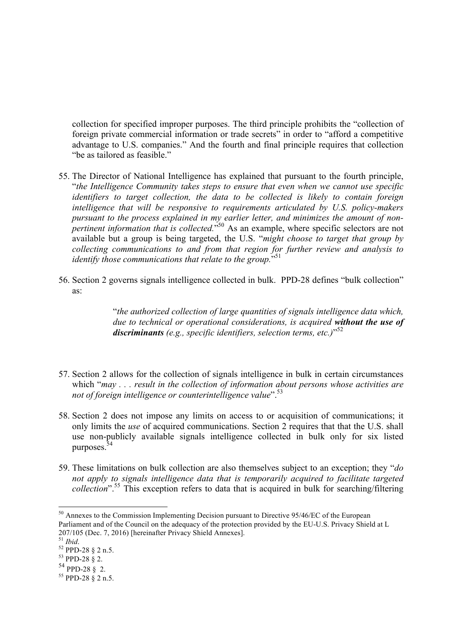collection for specified improper purposes. The third principle prohibits the "collection of foreign private commercial information or trade secrets" in order to "afford a competitive advantage to U.S. companies." And the fourth and final principle requires that collection "be as tailored as feasible."

- 55. The Director of National Intelligence has explained that pursuant to the fourth principle, "*the Intelligence Community takes steps to ensure that even when we cannot use specific identifiers to target collection, the data to be collected is likely to contain foreign intelligence that will be responsive to requirements articulated by U.S. policy-makers pursuant to the process explained in my earlier letter, and minimizes the amount of nonpertinent information that is collected.*" <sup>50</sup> As an example, where specific selectors are not available but a group is being targeted, the U.S. "*might choose to target that group by collecting communications to and from that region for further review and analysis to*  identify those communications that relate to the group."<sup>51</sup>
- 56. Section 2 governs signals intelligence collected in bulk. PPD-28 defines "bulk collection" as:

"*the authorized collection of large quantities of signals intelligence data which, due to technical or operational considerations, is acquired without the use of discriminants (e.g., specific identifiers, selection terms, etc.)*" 52

- 57. Section 2 allows for the collection of signals intelligence in bulk in certain circumstances which "*may . . . result in the collection of information about persons whose activities are not of foreign intelligence or counterintelligence value*".<sup>53</sup>
- 58. Section 2 does not impose any limits on access to or acquisition of communications; it only limits the *use* of acquired communications. Section 2 requires that that the U.S. shall use non-publicly available signals intelligence collected in bulk only for six listed purposes.54
- 59. These limitations on bulk collection are also themselves subject to an exception; they "*do not apply to signals intelligence data that is temporarily acquired to facilitate targeted collection*".<sup>55</sup> This exception refers to data that is acquired in bulk for searching/filtering

<sup>&</sup>lt;sup>50</sup> Annexes to the Commission Implementing Decision pursuant to Directive 95/46/EC of the European Parliament and of the Council on the adequacy of the protection provided by the EU-U.S. Privacy Shield at L 207/105 (Dec. 7, 2016) [hereinafter Privacy Shield Annexes].<br><sup>51</sup> *Ibid.* 52 PPD-28 § 2 n.5. 53 PPD-28 § 2. 54 PPD-28 § 2.

 $55$  PPD-28  $\check{8}$  2 n.5.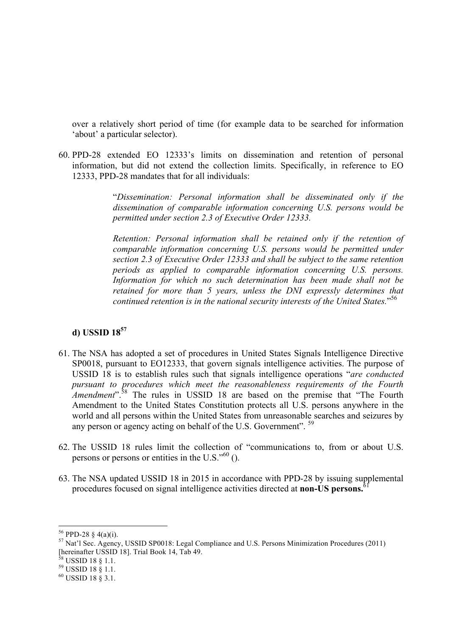over a relatively short period of time (for example data to be searched for information 'about' a particular selector).

60. PPD-28 extended EO 12333's limits on dissemination and retention of personal information, but did not extend the collection limits. Specifically, in reference to EO 12333, PPD-28 mandates that for all individuals:

> "*Dissemination: Personal information shall be disseminated only if the dissemination of comparable information concerning U.S. persons would be permitted under section 2.3 of Executive Order 12333.*

> *Retention: Personal information shall be retained only if the retention of comparable information concerning U.S. persons would be permitted under section 2.3 of Executive Order 12333 and shall be subject to the same retention periods as applied to comparable information concerning U.S. persons. Information for which no such determination has been made shall not be retained for more than 5 years, unless the DNI expressly determines that continued retention is in the national security interests of the United States.*" 56

## **d) USSID 18<sup>57</sup>**

- 61. The NSA has adopted a set of procedures in United States Signals Intelligence Directive SP0018, pursuant to EO12333, that govern signals intelligence activities. The purpose of USSID 18 is to establish rules such that signals intelligence operations "*are conducted pursuant to procedures which meet the reasonableness requirements of the Fourth Amendment*".<sup>58</sup> The rules in USSID 18 are based on the premise that "The Fourth" Amendment to the United States Constitution protects all U.S. persons anywhere in the world and all persons within the United States from unreasonable searches and seizures by any person or agency acting on behalf of the U.S. Government". <sup>59</sup>
- 62. The USSID 18 rules limit the collection of "communications to, from or about U.S. persons or persons or entities in the U.S." $60$  ().
- 63. The NSA updated USSID 18 in 2015 in accordance with PPD-28 by issuing supplemental procedures focused on signal intelligence activities directed at **non-US persons.**61

<sup>&</sup>lt;sup>56</sup> PPD-28 § 4(a)(i).<br><sup>57</sup> Nat'l Sec. Agency, USSID SP0018: Legal Compliance and U.S. Persons Minimization Procedures (2011) [hereinafter USSID 18]. Trial Book 14, Tab 49.<br><sup>58</sup> USSID 18 § 1.1.<br><sup>59</sup> USSID 18 § 1.1.<br><sup>60</sup> USSID 18 § 3.1.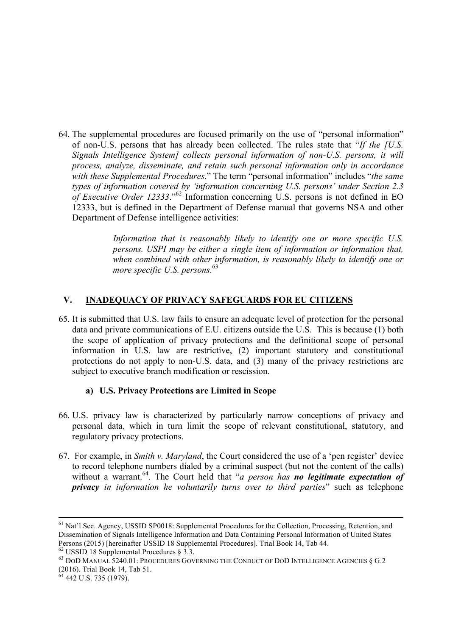64. The supplemental procedures are focused primarily on the use of "personal information" of non-U.S. persons that has already been collected. The rules state that "*If the [U.S. Signals Intelligence System] collects personal information of non-U.S. persons, it will process, analyze, disseminate, and retain such personal information only in accordance with these Supplemental Procedures*." The term "personal information" includes "*the same types of information covered by 'information concerning U.S. persons' under Section 2.3 of Executive Order 12333*."<sup>62</sup> Information concerning U.S. persons is not defined in EO 12333, but is defined in the Department of Defense manual that governs NSA and other Department of Defense intelligence activities:

> *Information that is reasonably likely to identify one or more specific U.S. persons. USPI may be either a single item of information or information that, when combined with other information, is reasonably likely to identify one or more specific U.S. persons.*<sup>63</sup>

# **V. INADEQUACY OF PRIVACY SAFEGUARDS FOR EU CITIZENS**

65. It is submitted that U.S. law fails to ensure an adequate level of protection for the personal data and private communications of E.U. citizens outside the U.S. This is because (1) both the scope of application of privacy protections and the definitional scope of personal information in U.S. law are restrictive, (2) important statutory and constitutional protections do not apply to non-U.S. data, and (3) many of the privacy restrictions are subject to executive branch modification or rescission.

## **a) U.S. Privacy Protections are Limited in Scope**

- 66. U.S. privacy law is characterized by particularly narrow conceptions of privacy and personal data, which in turn limit the scope of relevant constitutional, statutory, and regulatory privacy protections.
- 67. For example, in *Smith v. Maryland*, the Court considered the use of a 'pen register' device to record telephone numbers dialed by a criminal suspect (but not the content of the calls) without a warrant.<sup>64</sup>. The Court held that "*a person has no legitimate expectation of privacy in information he voluntarily turns over to third parties*" such as telephone

 <sup>61</sup> Nat'l Sec. Agency, USSID SP0018: Supplemental Procedures for the Collection, Processing, Retention, and Dissemination of Signals Intelligence Information and Data Containing Personal Information of United States Persons (2015) [hereinafter USSID 18 Supplemental Procedures]. Trial Book 14, Tab 44.  $^{62}$  USSID 18 Supplemental Procedures § 3.3.

 $^{63}$  DoD MANUAL 5240.01: Procedures Governing the Conduct of DoD Intelligence Agencies  $§ G.2$ (2016). Trial Book 14, Tab 51. 64 442 U.S. 735 (1979).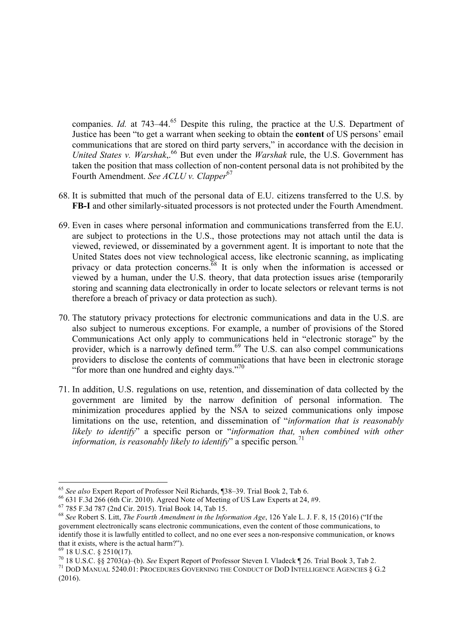companies. *Id.* at 743–44.<sup>65</sup> Despite this ruling, the practice at the U.S. Department of Justice has been "to get a warrant when seeking to obtain the **content** of US persons' email communications that are stored on third party servers," in accordance with the decision in *United States v. Warshak*,.<sup>66</sup> But even under the *Warshak* rule, the U.S. Government has taken the position that mass collection of non-content personal data is not prohibited by the Fourth Amendment. *See ACLU v. Clapper*<sup>67</sup>

- 68. It is submitted that much of the personal data of E.U. citizens transferred to the U.S. by **FB-I** and other similarly-situated processors is not protected under the Fourth Amendment.
- 69. Even in cases where personal information and communications transferred from the E.U. are subject to protections in the U.S., those protections may not attach until the data is viewed, reviewed, or disseminated by a government agent. It is important to note that the United States does not view technological access, like electronic scanning, as implicating privacy or data protection concerns.<sup>68</sup> It is only when the information is accessed or viewed by a human, under the U.S. theory, that data protection issues arise (temporarily storing and scanning data electronically in order to locate selectors or relevant terms is not therefore a breach of privacy or data protection as such).
- 70. The statutory privacy protections for electronic communications and data in the U.S. are also subject to numerous exceptions. For example, a number of provisions of the Stored Communications Act only apply to communications held in "electronic storage" by the provider, which is a narrowly defined term.<sup>69</sup> The U.S. can also compel communications providers to disclose the contents of communications that have been in electronic storage "for more than one hundred and eighty days."<sup>70</sup>
- 71. In addition, U.S. regulations on use, retention, and dissemination of data collected by the government are limited by the narrow definition of personal information. The minimization procedures applied by the NSA to seized communications only impose limitations on the use, retention, and dissemination of "*information that is reasonably likely to identify*" a specific person or "*information that, when combined with other information, is reasonably likely to identify*" a specific person*.* 71

<sup>&</sup>lt;sup>65</sup> See also Expert Report of Professor Neil Richards,  $$38-39$ . Trial Book 2, Tab 6.<br><sup>66</sup> 631 F.3d 266 (6th Cir. 2010). Agreed Note of Meeting of US Law Experts at 24, #9.<br><sup>67</sup> 785 F.3d 787 (2nd Cir. 2015). Trial Book 1 government electronically scans electronic communications, even the content of those communications, to identify those it is lawfully entitled to collect, and no one ever sees a non-responsive communication, or knows that it exists, where is the actual harm?").<br> $^{69}$  18 U.S.C. § 2510(17).

<sup>&</sup>lt;sup>70</sup> 18 U.S.C. §§ 2703(a)–(b). See Expert Report of Professor Steven I. Vladeck ¶ 26. Trial Book 3, Tab 2.<br><sup>71</sup> DOD MANUAL 5240.01: PROCEDURES GOVERNING THE CONDUCT OF DOD INTELLIGENCE AGENCIES § G.2

<sup>(2016).</sup>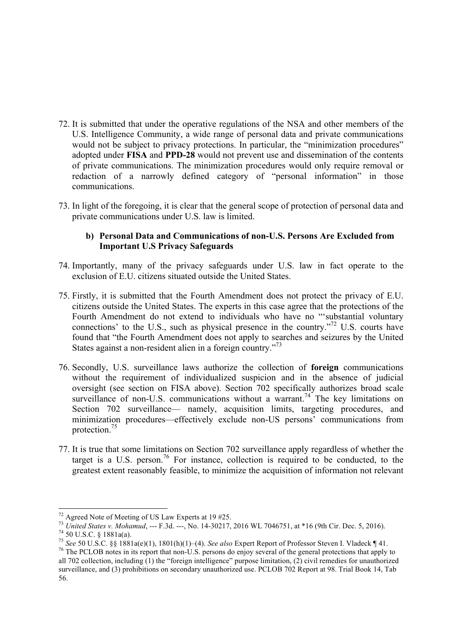- 72. It is submitted that under the operative regulations of the NSA and other members of the U.S. Intelligence Community, a wide range of personal data and private communications would not be subject to privacy protections. In particular, the "minimization procedures" adopted under **FISA** and **PPD-28** would not prevent use and dissemination of the contents of private communications. The minimization procedures would only require removal or redaction of a narrowly defined category of "personal information" in those communications.
- 73. In light of the foregoing, it is clear that the general scope of protection of personal data and private communications under U.S. law is limited.

## **b) Personal Data and Communications of non-U.S. Persons Are Excluded from Important U.S Privacy Safeguards**

- 74. Importantly, many of the privacy safeguards under U.S. law in fact operate to the exclusion of E.U. citizens situated outside the United States.
- 75. Firstly, it is submitted that the Fourth Amendment does not protect the privacy of E.U. citizens outside the United States. The experts in this case agree that the protections of the Fourth Amendment do not extend to individuals who have no "'substantial voluntary connections' to the U.S., such as physical presence in the country."72 U.S. courts have found that "the Fourth Amendment does not apply to searches and seizures by the United States against a non-resident alien in a foreign country.<sup>73</sup>
- 76. Secondly, U.S. surveillance laws authorize the collection of **foreign** communications without the requirement of individualized suspicion and in the absence of judicial oversight (see section on FISA above). Section 702 specifically authorizes broad scale surveillance of non-U.S. communications without a warrant.<sup>74</sup> The key limitations on Section 702 surveillance— namely, acquisition limits, targeting procedures, and minimization procedures—effectively exclude non-US persons' communications from protection. 75
- 77. It is true that some limitations on Section 702 surveillance apply regardless of whether the target is a U.S. person.<sup>76</sup> For instance, collection is required to be conducted, to the greatest extent reasonably feasible, to minimize the acquisition of information not relevant

<sup>&</sup>lt;sup>72</sup> Agreed Note of Meeting of US Law Experts at 19 #25.<br><sup>73</sup> United States v. Mohamud, --- F.3d. ---, No. 14-30217, 2016 WL 7046751, at \*16 (9th Cir. Dec. 5, 2016).<br><sup>74</sup> 50 U.S.C. § 1881a(a).<br><sup>75</sup> See 50 U.S.C. §§ 1881a( all 702 collection, including (1) the "foreign intelligence" purpose limitation, (2) civil remedies for unauthorized surveillance, and (3) prohibitions on secondary unauthorized use. PCLOB 702 Report at 98. Trial Book 14, Tab 56.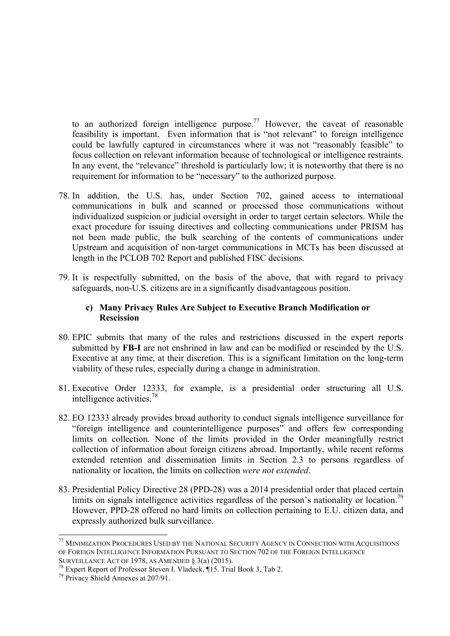to an authorized foreign intelligence purpose.<sup>77</sup> However, the caveat of reasonable feasibility is important. Even information that is "not relevant" to foreign intelligence could be lawfully captured in circumstances where it was not "reasonably feasible" to focus collection on relevant information because of technological or intelligence restraints. In any event, the "relevance" threshold is particularly low; it is noteworthy that there is no requirement for information to be "necessary" to the authorized purpose.

- 78. In addition, the U.S. has, under Section 702, gained access to international communications in bulk and scanned or processed those communications without individualized suspicion or judicial oversight in order to target certain selectors. While the exact procedure for issuing directives and collecting communications under PRISM has not been made public, the bulk searching of the contents of communications under Upstream and acquisition of non-target communications in MCTs has been discussed at length in the PCLOB 702 Report and published FISC decisions.
- 79. It is respectfully submitted, on the basis of the above, that with regard to privacy safeguards, non-U.S. citizens are in a significantly disadvantageous position.

## **c) Many Privacy Rules Are Subject to Executive Branch Modification or Rescission**

- 80. EPIC submits that many of the rules and restrictions discussed in the expert reports submitted by **FB-I** are not enshrined in law and can be modified or rescinded by the U.S. Executive at any time, at their discretion. This is a significant limitation on the long-term viability of these rules, especially during a change in administration.
- 81. Executive Order 12333, for example, is a presidential order structuring all U.S. intelligence activities.<sup>78</sup>
- 82. EO 12333 already provides broad authority to conduct signals intelligence surveillance for "foreign intelligence and counterintelligence purposes" and offers few corresponding limits on collection. None of the limits provided in the Order meaningfully restrict collection of information about foreign citizens abroad. Importantly, while recent reforms extended retention and dissemination limits in Section 2.3 to persons regardless of nationality or location, the limits on collection *were not extended*.
- 83. Presidential Policy Directive 28 (PPD-28) was a 2014 presidential order that placed certain limits on signals intelligence activities regardless of the person's nationality or location.<sup>79</sup> However, PPD-28 offered no hard limits on collection pertaining to E.U. citizen data, and expressly authorized bulk surveillance.

 <sup>77</sup> MINIMIZATION PROCEDURES USED BY THE NATIONAL SECURITY AGENCY IN CONNECTION WITH ACQUISITIONS OF FOREIGN INTELLIGENCE INFORMATION PURSUANT TO SECTION 702 OF THE FOREIGN INTELLIGENCE<br>SURVEILLANCE ACT OF 1978, AS AMENDED  $\S 3(a) (2015)$ .

<sup>&</sup>lt;sup>78</sup> Expert Report of Professor Steven I. Vladeck, ¶15. Trial Book 3, Tab 2. <sup>79</sup> Privacy Shield Annexes at 207/91.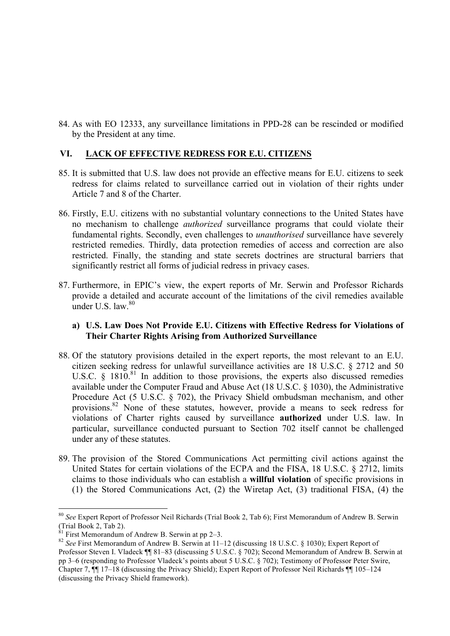84. As with EO 12333, any surveillance limitations in PPD-28 can be rescinded or modified by the President at any time.

## **VI. LACK OF EFFECTIVE REDRESS FOR E.U. CITIZENS**

- 85. It is submitted that U.S. law does not provide an effective means for E.U. citizens to seek redress for claims related to surveillance carried out in violation of their rights under Article 7 and 8 of the Charter.
- 86. Firstly, E.U. citizens with no substantial voluntary connections to the United States have no mechanism to challenge *authorized* surveillance programs that could violate their fundamental rights. Secondly, even challenges to *unauthorised* surveillance have severely restricted remedies. Thirdly, data protection remedies of access and correction are also restricted. Finally, the standing and state secrets doctrines are structural barriers that significantly restrict all forms of judicial redress in privacy cases.
- 87. Furthermore, in EPIC's view, the expert reports of Mr. Serwin and Professor Richards provide a detailed and accurate account of the limitations of the civil remedies available under U.S. law  $80$

## **a) U.S. Law Does Not Provide E.U. Citizens with Effective Redress for Violations of Their Charter Rights Arising from Authorized Surveillance**

- 88. Of the statutory provisions detailed in the expert reports, the most relevant to an E.U. citizen seeking redress for unlawful surveillance activities are 18 U.S.C. § 2712 and 50 U.S.C.  $\hat{\zeta}$  1810.<sup>81</sup> In addition to those provisions, the experts also discussed remedies available under the Computer Fraud and Abuse Act (18 U.S.C. § 1030), the Administrative Procedure Act (5 U.S.C. § 702), the Privacy Shield ombudsman mechanism, and other provisions.<sup>82</sup> None of these statutes, however, provide a means to seek redress for violations of Charter rights caused by surveillance **authorized** under U.S. law. In particular, surveillance conducted pursuant to Section 702 itself cannot be challenged under any of these statutes.
- 89. The provision of the Stored Communications Act permitting civil actions against the United States for certain violations of the ECPA and the FISA, 18 U.S.C. § 2712, limits claims to those individuals who can establish a **willful violation** of specific provisions in (1) the Stored Communications Act, (2) the Wiretap Act, (3) traditional FISA, (4) the

 <sup>80</sup> *See* Expert Report of Professor Neil Richards (Trial Book 2, Tab 6); First Memorandum of Andrew B. Serwin (Trial Book 2, Tab 2).<br>
<sup>81</sup> First Memorandum of Andrew B. Serwin at pp 2–3.

<sup>82</sup> See First Memorandum of Andrew B. Serwin at 11–12 (discussing 18 U.S.C. § 1030); Expert Report of Professor Steven I. Vladeck ¶¶ 81–83 (discussing 5 U.S.C. § 702); Second Memorandum of Andrew B. Serwin at pp 3–6 (responding to Professor Vladeck's points about 5 U.S.C. § 702); Testimony of Professor Peter Swire, Chapter 7, ¶¶ 17–18 (discussing the Privacy Shield); Expert Report of Professor Neil Richards ¶¶ 105–124 (discussing the Privacy Shield framework).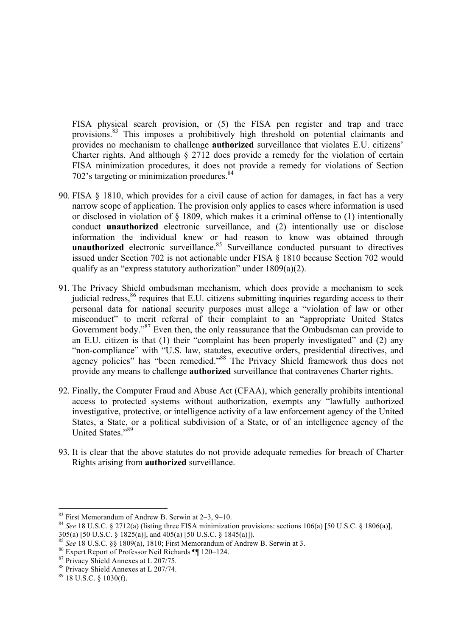FISA physical search provision, or (5) the FISA pen register and trap and trace provisions.<sup>83</sup> This imposes a prohibitively high threshold on potential claimants and provides no mechanism to challenge **authorized** surveillance that violates E.U. citizens' Charter rights. And although § 2712 does provide a remedy for the violation of certain FISA minimization procedures, it does not provide a remedy for violations of Section 702's targeting or minimization proedures.<sup>84</sup>

- 90. FISA § 1810, which provides for a civil cause of action for damages, in fact has a very narrow scope of application. The provision only applies to cases where information is used or disclosed in violation of § 1809, which makes it a criminal offense to (1) intentionally conduct **unauthorized** electronic surveillance, and (2) intentionally use or disclose information the individual knew or had reason to know was obtained through unauthorized electronic surveillance.<sup>85</sup> Surveillance conducted pursuant to directives issued under Section 702 is not actionable under FISA § 1810 because Section 702 would qualify as an "express statutory authorization" under 1809(a)(2).
- 91. The Privacy Shield ombudsman mechanism, which does provide a mechanism to seek judicial redress,<sup>86</sup> requires that E.U. citizens submitting inquiries regarding access to their personal data for national security purposes must allege a "violation of law or other misconduct" to merit referral of their complaint to an "appropriate United States Government body."<sup>87</sup> Even then, the only reassurance that the Ombudsman can provide to an E.U. citizen is that (1) their "complaint has been properly investigated" and (2) any "non-compliance" with "U.S. law, statutes, executive orders, presidential directives, and agency policies" has "been remedied."<sup>88</sup> The Privacy Shield framework thus does not provide any means to challenge **authorized** surveillance that contravenes Charter rights.
- 92. Finally, the Computer Fraud and Abuse Act (CFAA), which generally prohibits intentional access to protected systems without authorization, exempts any "lawfully authorized investigative, protective, or intelligence activity of a law enforcement agency of the United States, a State, or a political subdivision of a State, or of an intelligence agency of the United States<sup>"89</sup>
- 93. It is clear that the above statutes do not provide adequate remedies for breach of Charter Rights arising from **authorized** surveillance.

<sup>&</sup>lt;sup>83</sup> First Memorandum of Andrew B. Serwin at 2–3, 9–10.<br><sup>84</sup> *See* 18 U.S.C. § 2712(a) (listing three FISA minimization provisions: sections 106(a) [50 U.S.C. § 1806(a)], 305(a) [50 U.S.C. § 1825(a)], and 405(a) [50 U.S.C. § 1845(a)]).

<sup>&</sup>lt;sup>85</sup> See 18 U.S.C. §§ 1809(a), 1810; First Memorandum of Andrew B. Serwin at 3.<br><sup>86</sup> Expert Report of Professor Neil Richards ¶¶ 120–124.<br><sup>87</sup> Privacy Shield Annexes at L 207/75.<br><sup>88</sup> Privacy Shield Annexes at L 207/74.<br><sup></sup>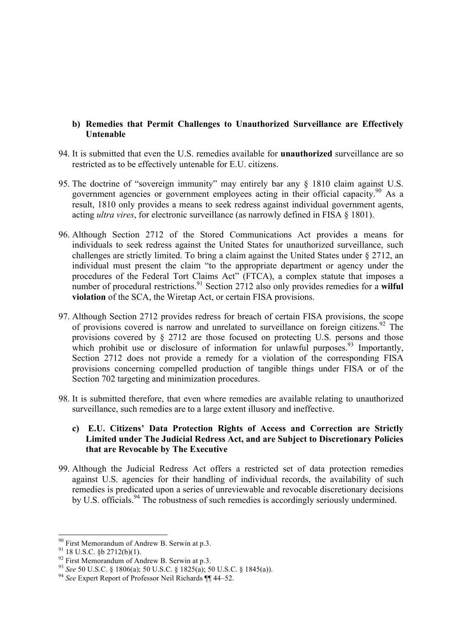## **b) Remedies that Permit Challenges to Unauthorized Surveillance are Effectively Untenable**

- 94. It is submitted that even the U.S. remedies available for **unauthorized** surveillance are so restricted as to be effectively untenable for E.U. citizens.
- 95. The doctrine of "sovereign immunity" may entirely bar any § 1810 claim against U.S. government agencies or government employees acting in their official capacity.<sup>90</sup> As a result, 1810 only provides a means to seek redress against individual government agents, acting *ultra vires*, for electronic surveillance (as narrowly defined in FISA § 1801).
- 96. Although Section 2712 of the Stored Communications Act provides a means for individuals to seek redress against the United States for unauthorized surveillance, such challenges are strictly limited. To bring a claim against the United States under § 2712, an individual must present the claim "to the appropriate department or agency under the procedures of the Federal Tort Claims Act" (FTCA), a complex statute that imposes a number of procedural restrictions.<sup>91</sup> Section  $2712$  also only provides remedies for a **wilful violation** of the SCA, the Wiretap Act, or certain FISA provisions.
- 97. Although Section 2712 provides redress for breach of certain FISA provisions, the scope of provisions covered is narrow and unrelated to surveillance on foreign citizens.<sup>92</sup> The provisions covered by § 2712 are those focused on protecting U.S. persons and those which prohibit use or disclosure of information for unlawful purposes.<sup>93</sup> Importantly, Section 2712 does not provide a remedy for a violation of the corresponding FISA provisions concerning compelled production of tangible things under FISA or of the Section 702 targeting and minimization procedures.
- 98. It is submitted therefore, that even where remedies are available relating to unauthorized surveillance, such remedies are to a large extent illusory and ineffective.

## **c) E.U. Citizens' Data Protection Rights of Access and Correction are Strictly Limited under The Judicial Redress Act, and are Subject to Discretionary Policies that are Revocable by The Executive**

99. Although the Judicial Redress Act offers a restricted set of data protection remedies against U.S. agencies for their handling of individual records, the availability of such remedies is predicated upon a series of unreviewable and revocable discretionary decisions by U.S. officials.<sup>94</sup> The robustness of such remedies is accordingly seriously undermined.

<sup>&</sup>lt;sup>90</sup> First Memorandum of Andrew B. Serwin at p.3.<br><sup>91</sup> 18 U.S.C. §b 2712(b)(1).<br><sup>92</sup> First Memorandum of Andrew B. Serwin at p.3.<br><sup>93</sup> *See* 50 U.S.C. § 1806(a); 50 U.S.C. § 1825(a); 50 U.S.C. § 1845(a)).<br><sup>94</sup> *See* Exper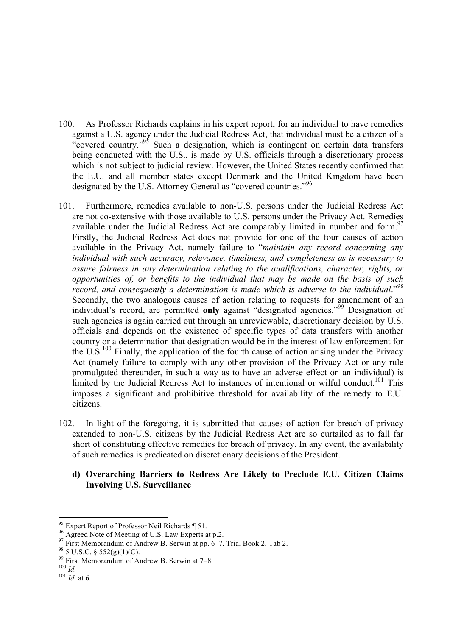- 100. As Professor Richards explains in his expert report, for an individual to have remedies against a U.S. agency under the Judicial Redress Act, that individual must be a citizen of a "covered country."<sup>95</sup> Such a designation, which is contingent on certain data transfers being conducted with the U.S., is made by U.S. officials through a discretionary process which is not subject to judicial review. However, the United States recently confirmed that the E.U. and all member states except Denmark and the United Kingdom have been designated by the U.S. Attorney General as "covered countries."<sup>96</sup>
- 101. Furthermore, remedies available to non-U.S. persons under the Judicial Redress Act are not co-extensive with those available to U.S. persons under the Privacy Act. Remedies available under the Judicial Redress Act are comparably limited in number and form.<sup>97</sup> Firstly, the Judicial Redress Act does not provide for one of the four causes of action available in the Privacy Act, namely failure to "*maintain any record concerning any individual with such accuracy, relevance, timeliness, and completeness as is necessary to assure fairness in any determination relating to the qualifications, character, rights, or opportunities of, or benefits to the individual that may be made on the basis of such record, and consequently a determination is made which is adverse to the individual*." 98 Secondly, the two analogous causes of action relating to requests for amendment of an individual's record, are permitted **only** against "designated agencies."<sup>99</sup> Designation of such agencies is again carried out through an unreviewable, discretionary decision by U.S. officials and depends on the existence of specific types of data transfers with another country or a determination that designation would be in the interest of law enforcement for the U.S.<sup>100</sup> Finally, the application of the fourth cause of action arising under the Privacy Act (namely failure to comply with any other provision of the Privacy Act or any rule promulgated thereunder, in such a way as to have an adverse effect on an individual) is limited by the Judicial Redress Act to instances of intentional or wilful conduct.<sup>101</sup> This imposes a significant and prohibitive threshold for availability of the remedy to E.U. citizens.
- 102. In light of the foregoing, it is submitted that causes of action for breach of privacy extended to non-U.S. citizens by the Judicial Redress Act are so curtailed as to fall far short of constituting effective remedies for breach of privacy. In any event, the availability of such remedies is predicated on discretionary decisions of the President.

## **d) Overarching Barriers to Redress Are Likely to Preclude E.U. Citizen Claims Involving U.S. Surveillance**

<sup>&</sup>lt;sup>95</sup> Expert Report of Professor Neil Richards ¶ 51.<br><sup>96</sup> Agreed Note of Meeting of U.S. Law Experts at p.2.<br><sup>97</sup> First Memorandum of Andrew B. Serwin at pp. 6–7. Trial Book 2, Tab 2.<br><sup>98</sup> 5 U.S.C. § 552(g)(1)(C).<br><sup>99</sup> Fir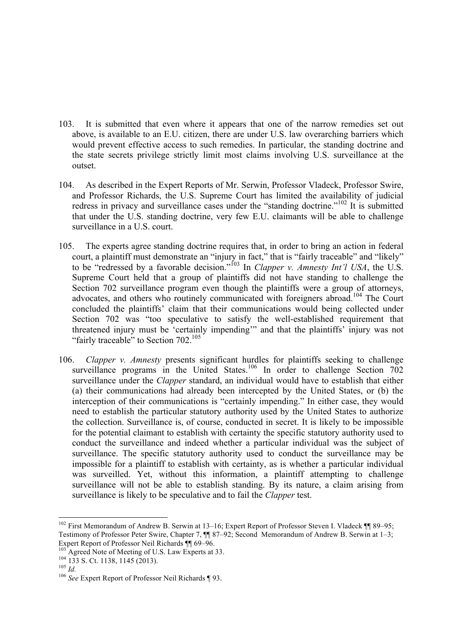- 103. It is submitted that even where it appears that one of the narrow remedies set out above, is available to an E.U. citizen, there are under U.S. law overarching barriers which would prevent effective access to such remedies. In particular, the standing doctrine and the state secrets privilege strictly limit most claims involving U.S. surveillance at the outset.
- 104. As described in the Expert Reports of Mr. Serwin, Professor Vladeck, Professor Swire, and Professor Richards, the U.S. Supreme Court has limited the availability of judicial redress in privacy and surveillance cases under the "standing doctrine."<sup>102</sup> It is submitted that under the U.S. standing doctrine, very few E.U. claimants will be able to challenge surveillance in a U.S. court.
- 105. The experts agree standing doctrine requires that, in order to bring an action in federal court, a plaintiff must demonstrate an "injury in fact," that is "fairly traceable" and "likely" to be "redressed by a favorable decision."<sup>103</sup> In *Clapper v. Amnesty Int'l USA*, the U.S. Supreme Court held that a group of plaintiffs did not have standing to challenge the Section 702 surveillance program even though the plaintiffs were a group of attorneys, advocates, and others who routinely communicated with foreigners abroad.<sup>104</sup> The Court concluded the plaintiffs' claim that their communications would being collected under Section 702 was "too speculative to satisfy the well-established requirement that threatened injury must be 'certainly impending'" and that the plaintiffs' injury was not "fairly traceable" to Section 702.<sup>105</sup>
- 106. *Clapper v. Amnesty* presents significant hurdles for plaintiffs seeking to challenge surveillance programs in the United States.<sup>106</sup> In order to challenge Section  $702$ surveillance under the *Clapper* standard, an individual would have to establish that either (a) their communications had already been intercepted by the United States, or (b) the interception of their communications is "certainly impending." In either case, they would need to establish the particular statutory authority used by the United States to authorize the collection. Surveillance is, of course, conducted in secret. It is likely to be impossible for the potential claimant to establish with certainty the specific statutory authority used to conduct the surveillance and indeed whether a particular individual was the subject of surveillance. The specific statutory authority used to conduct the surveillance may be impossible for a plaintiff to establish with certainty, as is whether a particular individual was surveilled. Yet, without this information, a plaintiff attempting to challenge surveillance will not be able to establish standing. By its nature, a claim arising from surveillance is likely to be speculative and to fail the *Clapper* test.

<sup>&</sup>lt;sup>102</sup> First Memorandum of Andrew B. Serwin at 13–16; Expert Report of Professor Steven I. Vladeck ¶ 89–95; Testimony of Professor Peter Swire, Chapter 7, ¶¶ 87–92; Second Memorandum of Andrew B. Serwin at 1–3;

Expert Report of Professor Neil Richards ¶¶ 69–96.<br><sup>103</sup> Agreed Note of Meeting of U.S. Law Experts at 33.<br><sup>104</sup> 133 S. Ct. 1138, 1145 (2013).<br><sup>105</sup> *Id.* <sup>106</sup> *See* Expert Report of Professor Neil Richards ¶ 93.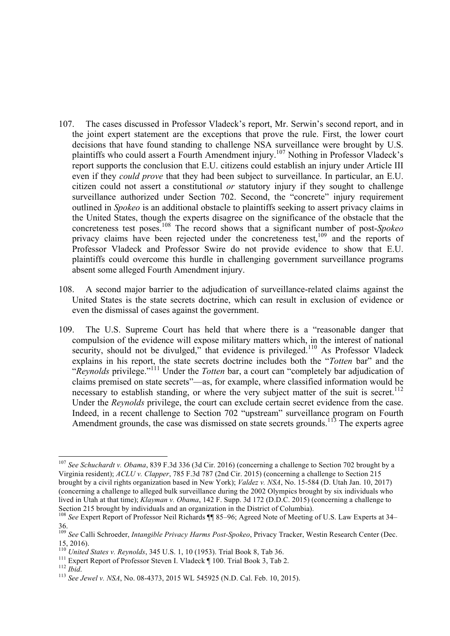- 107. The cases discussed in Professor Vladeck's report, Mr. Serwin's second report, and in the joint expert statement are the exceptions that prove the rule. First, the lower court decisions that have found standing to challenge NSA surveillance were brought by U.S. plaintiffs who could assert a Fourth Amendment injury.<sup>107</sup> Nothing in Professor Vladeck's report supports the conclusion that E.U. citizens could establish an injury under Article III even if they *could prove* that they had been subject to surveillance. In particular, an E.U. citizen could not assert a constitutional *or* statutory injury if they sought to challenge surveillance authorized under Section 702. Second, the "concrete" injury requirement outlined in *Spokeo* is an additional obstacle to plaintiffs seeking to assert privacy claims in the United States, though the experts disagree on the significance of the obstacle that the concreteness test poses.<sup>108</sup> The record shows that a significant number of post-*Spokeo* privacy claims have been rejected under the concreteness test,<sup>109</sup> and the reports of Professor Vladeck and Professor Swire do not provide evidence to show that E.U. plaintiffs could overcome this hurdle in challenging government surveillance programs absent some alleged Fourth Amendment injury.
- 108. A second major barrier to the adjudication of surveillance-related claims against the United States is the state secrets doctrine, which can result in exclusion of evidence or even the dismissal of cases against the government.
- 109. The U.S. Supreme Court has held that where there is a "reasonable danger that compulsion of the evidence will expose military matters which, in the interest of national security, should not be divulged," that evidence is privileged.<sup>110</sup> As Professor Vladeck explains in his report, the state secrets doctrine includes both the "*Totten* bar" and the "*Reynolds* privilege."<sup>111</sup> Under the *Totten* bar, a court can "completely bar adjudication of claims premised on state secrets"—as, for example, where classified information would be necessary to establish standing, or where the very subject matter of the suit is secret.<sup>112</sup> Under the *Reynolds* privilege, the court can exclude certain secret evidence from the case. Indeed, in a recent challenge to Section 702 "upstream" surveillance program on Fourth Amendment grounds, the case was dismissed on state secrets grounds.<sup>113</sup> The experts agree

 <sup>107</sup> *See Schuchardt v. Obama*, 839 F.3d 336 (3d Cir. 2016) (concerning a challenge to Section 702 brought by a Virginia resident); *ACLU v. Clapper*, 785 F.3d 787 (2nd Cir. 2015) (concerning a challenge to Section 215 brought by a civil rights organization based in New York); *Valdez v. NSA*, No. 15-584 (D. Utah Jan. 10, 2017) (concerning a challenge to alleged bulk surveillance during the 2002 Olympics brought by six individuals who lived in Utah at that time); *Klayman v. Obama*, 142 F. Supp. 3d 172 (D.D.C. 2015) (concerning a challenge to Section 215 brought by individuals and an organization in the District of Columbia).

<sup>&</sup>lt;sup>108</sup> See Expert Report of Professor Neil Richards ¶¶ 85–96; Agreed Note of Meeting of U.S. Law Experts at 34– 36.

<sup>109</sup> *See* Calli Schroeder, *Intangible Privacy Harms Post-Spokeo*, Privacy Tracker, Westin Research Center (Dec. 15, 2016).<br><sup>110</sup> United States v. Revnolds, 345 U.S. 1, 10 (1953). Trial Book 8, Tab 36.

<sup>&</sup>lt;sup>111</sup> Expert Report of Professor Steven I. Vladeck  $\parallel$  100. Trial Book 3, Tab 2.<br><sup>112</sup> *Ibid.*<br><sup>113</sup> *See Jewel v. NSA*, No. 08-4373, 2015 WL 545925 (N.D. Cal. Feb. 10, 2015).